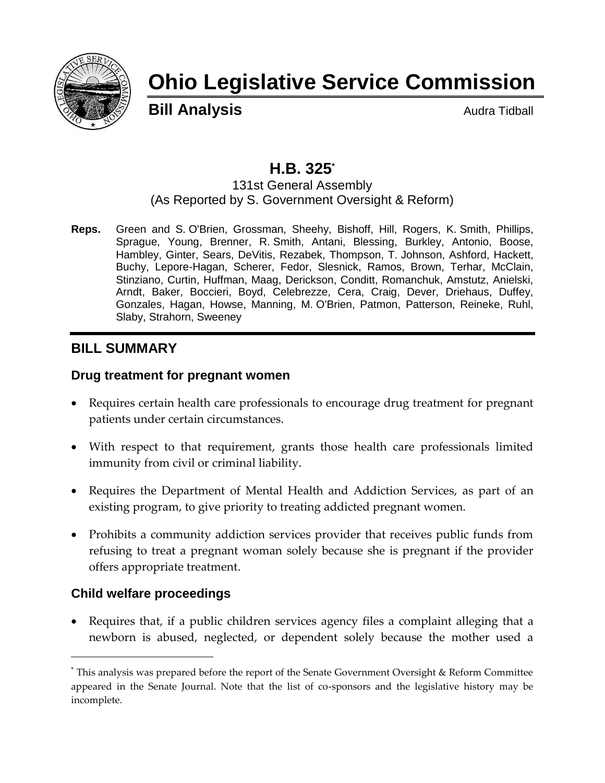

# **Ohio Legislative Service Commission**

**Bill Analysis** Audra Tidball

# **H.B. 325\***

#### 131st General Assembly (As Reported by S. Government Oversight & Reform)

**Reps.** Green and S. O'Brien, Grossman, Sheehy, Bishoff, Hill, Rogers, K. Smith, Phillips, Sprague, Young, Brenner, R. Smith, Antani, Blessing, Burkley, Antonio, Boose, Hambley, Ginter, Sears, DeVitis, Rezabek, Thompson, T. Johnson, Ashford, Hackett, Buchy, Lepore-Hagan, Scherer, Fedor, Slesnick, Ramos, Brown, Terhar, McClain, Stinziano, Curtin, Huffman, Maag, Derickson, Conditt, Romanchuk, Amstutz, Anielski, Arndt, Baker, Boccieri, Boyd, Celebrezze, Cera, Craig, Dever, Driehaus, Duffey, Gonzales, Hagan, Howse, Manning, M. O'Brien, Patmon, Patterson, Reineke, Ruhl, Slaby, Strahorn, Sweeney

# **BILL SUMMARY**

### **Drug treatment for pregnant women**

- Requires certain health care professionals to encourage drug treatment for pregnant patients under certain circumstances.
- With respect to that requirement, grants those health care professionals limited immunity from civil or criminal liability.
- Requires the Department of Mental Health and Addiction Services, as part of an existing program, to give priority to treating addicted pregnant women.
- Prohibits a community addiction services provider that receives public funds from refusing to treat a pregnant woman solely because she is pregnant if the provider offers appropriate treatment.

### **Child welfare proceedings**

 $\overline{a}$ 

 Requires that, if a public children services agency files a complaint alleging that a newborn is abused, neglected, or dependent solely because the mother used a

<sup>\*</sup> This analysis was prepared before the report of the Senate Government Oversight & Reform Committee appeared in the Senate Journal. Note that the list of co-sponsors and the legislative history may be incomplete.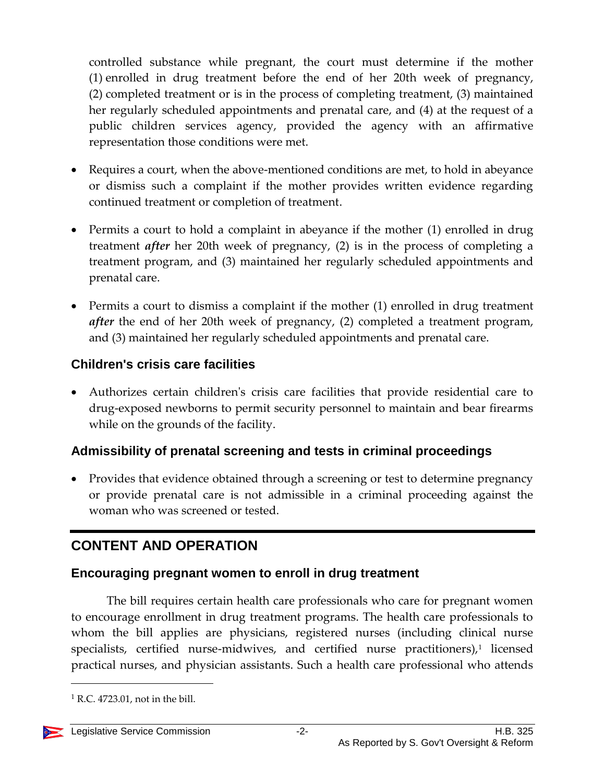controlled substance while pregnant, the court must determine if the mother (1) enrolled in drug treatment before the end of her 20th week of pregnancy, (2) completed treatment or is in the process of completing treatment, (3) maintained her regularly scheduled appointments and prenatal care, and (4) at the request of a public children services agency, provided the agency with an affirmative representation those conditions were met.

- Requires a court, when the above-mentioned conditions are met, to hold in abeyance or dismiss such a complaint if the mother provides written evidence regarding continued treatment or completion of treatment.
- Permits a court to hold a complaint in abeyance if the mother (1) enrolled in drug treatment *after* her 20th week of pregnancy, (2) is in the process of completing a treatment program, and (3) maintained her regularly scheduled appointments and prenatal care.
- Permits a court to dismiss a complaint if the mother (1) enrolled in drug treatment *after* the end of her 20th week of pregnancy, (2) completed a treatment program, and (3) maintained her regularly scheduled appointments and prenatal care.

# **Children's crisis care facilities**

 Authorizes certain children's crisis care facilities that provide residential care to drug-exposed newborns to permit security personnel to maintain and bear firearms while on the grounds of the facility.

# **Admissibility of prenatal screening and tests in criminal proceedings**

• Provides that evidence obtained through a screening or test to determine pregnancy or provide prenatal care is not admissible in a criminal proceeding against the woman who was screened or tested.

# **CONTENT AND OPERATION**

# **Encouraging pregnant women to enroll in drug treatment**

The bill requires certain health care professionals who care for pregnant women to encourage enrollment in drug treatment programs. The health care professionals to whom the bill applies are physicians, registered nurses (including clinical nurse specialists, certified nurse-midwives, and certified nurse practitioners),<sup>1</sup> licensed practical nurses, and physician assistants. Such a health care professional who attends

 $<sup>1</sup>$  R.C. 4723.01, not in the bill.</sup>

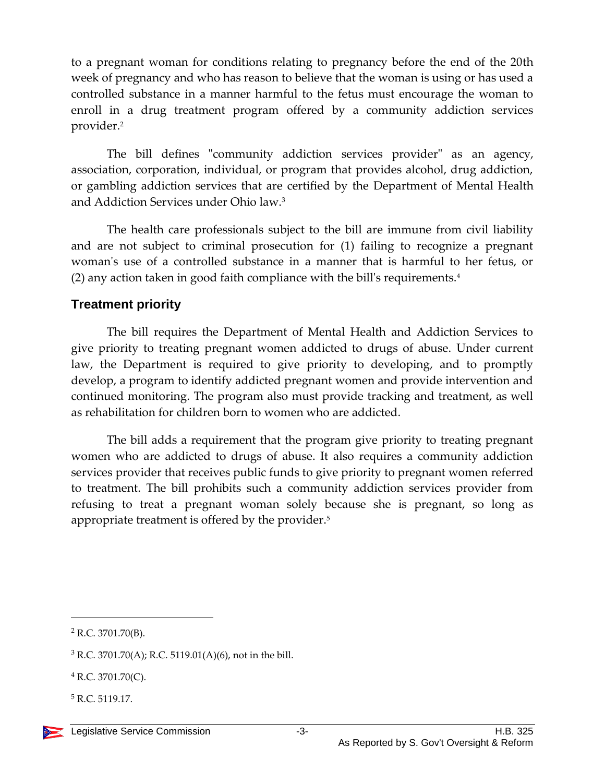to a pregnant woman for conditions relating to pregnancy before the end of the 20th week of pregnancy and who has reason to believe that the woman is using or has used a controlled substance in a manner harmful to the fetus must encourage the woman to enroll in a drug treatment program offered by a community addiction services provider.<sup>2</sup>

The bill defines "community addiction services provider" as an agency, association, corporation, individual, or program that provides alcohol, drug addiction, or gambling addiction services that are certified by the Department of Mental Health and Addiction Services under Ohio law. 3

The health care professionals subject to the bill are immune from civil liability and are not subject to criminal prosecution for (1) failing to recognize a pregnant woman's use of a controlled substance in a manner that is harmful to her fetus, or (2) any action taken in good faith compliance with the bill's requirements.<sup>4</sup>

### **Treatment priority**

The bill requires the Department of Mental Health and Addiction Services to give priority to treating pregnant women addicted to drugs of abuse. Under current law, the Department is required to give priority to developing, and to promptly develop, a program to identify addicted pregnant women and provide intervention and continued monitoring. The program also must provide tracking and treatment, as well as rehabilitation for children born to women who are addicted.

The bill adds a requirement that the program give priority to treating pregnant women who are addicted to drugs of abuse. It also requires a community addiction services provider that receives public funds to give priority to pregnant women referred to treatment. The bill prohibits such a community addiction services provider from refusing to treat a pregnant woman solely because she is pregnant, so long as appropriate treatment is offered by the provider.<sup>5</sup>

 $\overline{a}$ 

<sup>5</sup> R.C. 5119.17.

 $2$  R.C. 3701.70(B).

 $3$  R.C. 3701.70(A); R.C. 5119.01(A)(6), not in the bill.

 $4$  R.C. 3701.70(C).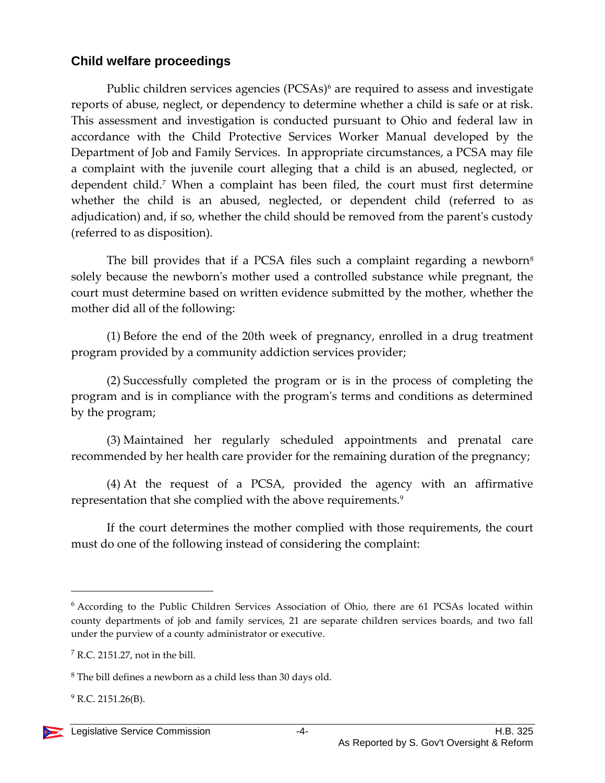### **Child welfare proceedings**

Public children services agencies (PCSAs)<sup>6</sup> are required to assess and investigate reports of abuse, neglect, or dependency to determine whether a child is safe or at risk. This assessment and investigation is conducted pursuant to Ohio and federal law in accordance with the Child Protective Services Worker Manual developed by the Department of Job and Family Services. In appropriate circumstances, a PCSA may file a complaint with the juvenile court alleging that a child is an abused, neglected, or dependent child.<sup>7</sup> When a complaint has been filed, the court must first determine whether the child is an abused, neglected, or dependent child (referred to as adjudication) and, if so, whether the child should be removed from the parent's custody (referred to as disposition).

The bill provides that if a PCSA files such a complaint regarding a newborn $\delta$ solely because the newborn's mother used a controlled substance while pregnant, the court must determine based on written evidence submitted by the mother, whether the mother did all of the following:

(1) Before the end of the 20th week of pregnancy, enrolled in a drug treatment program provided by a community addiction services provider;

(2) Successfully completed the program or is in the process of completing the program and is in compliance with the program's terms and conditions as determined by the program;

(3) Maintained her regularly scheduled appointments and prenatal care recommended by her health care provider for the remaining duration of the pregnancy;

(4) At the request of a PCSA, provided the agency with an affirmative representation that she complied with the above requirements.<sup>9</sup>

If the court determines the mother complied with those requirements, the court must do one of the following instead of considering the complaint:

 $^{9}$  R.C. 2151.26(B).

<sup>6</sup> According to the Public Children Services Association of Ohio, there are 61 PCSAs located within county departments of job and family services, 21 are separate children services boards, and two fall under the purview of a county administrator or executive.

<sup>7</sup> R.C. 2151.27, not in the bill.

 $8$  The bill defines a newborn as a child less than 30 days old.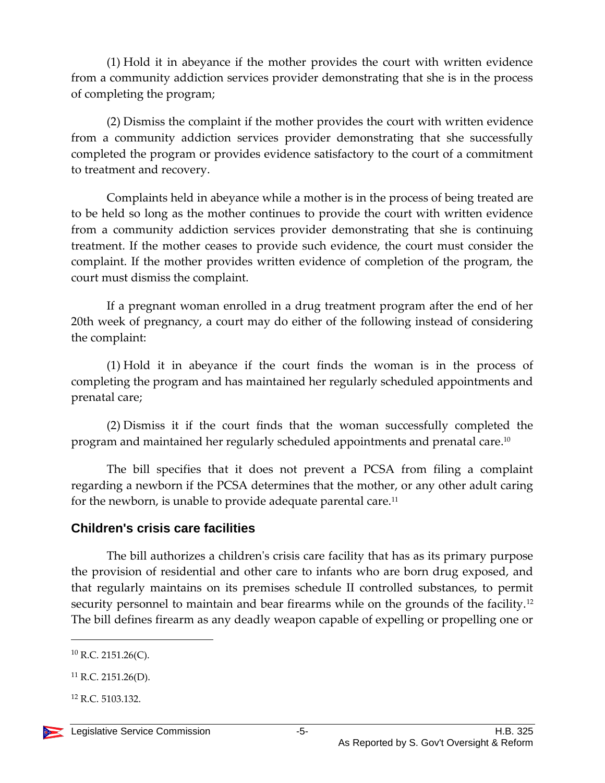(1) Hold it in abeyance if the mother provides the court with written evidence from a community addiction services provider demonstrating that she is in the process of completing the program;

(2) Dismiss the complaint if the mother provides the court with written evidence from a community addiction services provider demonstrating that she successfully completed the program or provides evidence satisfactory to the court of a commitment to treatment and recovery.

Complaints held in abeyance while a mother is in the process of being treated are to be held so long as the mother continues to provide the court with written evidence from a community addiction services provider demonstrating that she is continuing treatment. If the mother ceases to provide such evidence, the court must consider the complaint. If the mother provides written evidence of completion of the program, the court must dismiss the complaint.

If a pregnant woman enrolled in a drug treatment program after the end of her 20th week of pregnancy, a court may do either of the following instead of considering the complaint:

(1) Hold it in abeyance if the court finds the woman is in the process of completing the program and has maintained her regularly scheduled appointments and prenatal care;

(2) Dismiss it if the court finds that the woman successfully completed the program and maintained her regularly scheduled appointments and prenatal care. 10

The bill specifies that it does not prevent a PCSA from filing a complaint regarding a newborn if the PCSA determines that the mother, or any other adult caring for the newborn, is unable to provide adequate parental care.<sup>11</sup>

### **Children's crisis care facilities**

The bill authorizes a children's crisis care facility that has as its primary purpose the provision of residential and other care to infants who are born drug exposed, and that regularly maintains on its premises schedule II controlled substances, to permit security personnel to maintain and bear firearms while on the grounds of the facility.<sup>12</sup> The bill defines firearm as any deadly weapon capable of expelling or propelling one or

 $10$  R.C. 2151.26(C).

 $11$  R.C. 2151.26(D).

<sup>12</sup> R.C. 5103.132.